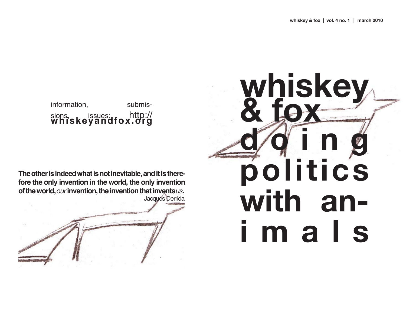

information. submissions, sissues: http://<br>whiskeyandfox.org

The other is indeed what is not inevitable, and it is therefore the only invention in the world, the only invention of the world, our invention, the invention that inventsus. Jacques Derrida

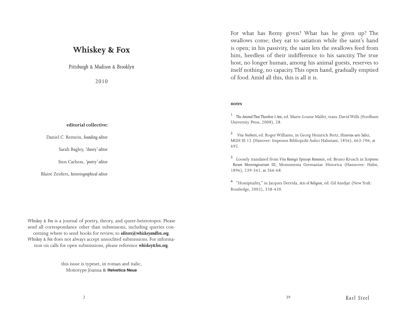# **Whiskey & Fox**

*Pittsburgh & Madison & Brooklyn*

2010

## **editorial collective:**

Daniel C. Remein, *founding editor*

Sarah Bagley, *'theory' editor*

Sten Carlson, *'poetry' editor*

Blaire Zeiders, *historiographical editor*

For what has Remy given? What has he given up? The swallows come; they eat to satiation while the saint's hand is open; in his passivity, the saint lets the swallows feed from him, heedless of their indifference to his sanctity. The true host, no longer human, among his animal guests, reserves to itself nothing, no capacity. This open hand, gradually emptied of food. Amid all this, this is all it is.

### **notes**

<sup>1</sup>*The Animal That Therefore I Am*, ed. Marie-Louise Mallet, trans. David Wills (Fordham University Press, 2008), 28.

2 *Vita Norberti,* ed. Roger Williams, in Georg Heinrich Pertz, *Historiae aevi Salici*, MGH SS 12 (Hanover: Impensis Bibliopolii Aulici Hahniani, 1856), 663-706, at 692.

3 Loosely translated from *Vita Remigii Episcopi Remensis*, ed. Bruno Krusch in *Scriptores Rerum Merovingicarium* III, Monumenta Germaniae Historica (Hannover: Hahn, 1896), 239-341, at 266-68.

4 "Hostipitality," in Jacques Derrida, *Acts of Religion*, ed. Gil Anidjar (New York: Routledge, 2002), 358-420.

*Whiskey & Fox* is a journal of poetry, theory, and queer-heterotopoi. Please send all correspondance other than submissons, including queries concerning where to send books for review, to *editors@whiskeyandfox.org*. *Whiskey & Fox* does not always accept unsoclited submissions. For information on calls for open submissions, please reference *whiskey&fox.org*.

> this issue is typeset, in roman and italic, Monotype Joanna & Helvetica Neue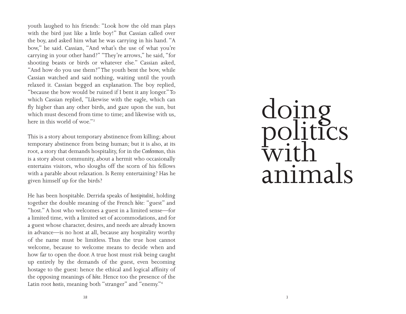youth laughed to his friends: "Look how the old man plays with the bird just like a little boy!" But Cassian called over the boy, and asked him what he was carrying in his hand. "A bow," he said. Cassian, "And what's the use of what you're carrying in your other hand?" "They're arrows," he said, "for shooting beasts or birds or whatever else." Cassian asked, "And how do you use them?" The youth bent the bow, while Cassian watched and said nothing, waiting until the youth relaxed it. Cassian begged an explanation. The boy replied, "because the bow would be ruined if I bent it any longer." To which Cassian replied, "Likewise with the eagle, which can fly higher than any other birds, and gaze upon the sun, but which must descend from time to time; and likewise with us, here in this world of woe." 3

This is a story about temporary abstinence from killing; about temporary abstinence from being human; but it is also, at its root, a story that demands hospitality, for in the *Conferences*, this is a story about community, about a hermit who occasionally entertains visitors, who sloughs off the scorn of his fellows with a parable about relaxation. Is Remy entertaining? Has he given himself up for the birds?

He has been hospitable. Derrida speaks of *hostipitalité*, holding together the double meaning of the French *hôte*: "guest" and "host." A host who welcomes a guest in a limited sense—for a limited time, with a limited set of accommodations, and for a guest whose character, desires, and needs are already known in advance—is no host at all, because any hospitality worthy of the name must be limitless. Thus the true host cannot welcome, because to welcome means to decide when and how far to open the door. A true host must risk being caught up entirely by the demands of the guest, even becoming hostage to the guest: hence the ethical and logical affinity of the opposing meanings of *hôte*. Hence too the presence of the Latin root *hostis*, meaning both "stranger" and "enemy." 4

# doing politics with animals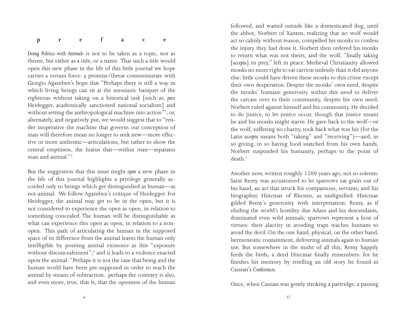| preface |  |
|---------|--|
|---------|--|

*Doing Politics with Animals* is not to be taken as a topic, nor as theme, but rather as a title, or a name. That such a title would open this new phase in the life of this little journal we hope carries a certain force: a promise/threat commensurate with Giorgio Agamben's hope that "Perhaps there is still a way in which living beings can sit at the messianic banquet of the righteous without taking on a historical task [such as, *pace* Heidegger, academically sanctioned national socialism] and without setting the anthropological machine into action"<sup>1</sup>; or, alternately, and negatively put, we would suggest that to "render inoperative the machine that governs our conception of man will therefore mean no longer to seek new—more effective or more authentic—articulations, but rather to show the central emptiness, the hiatus that—within man—separates man and animal."2

But the suggestion that this issue might *open* a new phase in the life of this journal highlights a privilege generally accorded only to beings which get distinguished as human—as not-animal. We follow Agamben's critique of Heidegger. For Heidegger, the animal may get to be in the open, but it is not considered to experience the open as open, in relation to something concealed. The human will be distinguishable as what can experience this open as open, in relation to a nonopen. This path of articulating the human in the supposed space of its difference from the animal leaves the human only intelligible by positing animal existence as this "exposure without disconcealement";<sup>3</sup> and it leads to a violence enacted upon the animal: "Perhaps it is not the case that being and the human world have been pre-supposed in order to reach the animal by means of subtraction...perhaps the contrary is also, and even more, true, that is, that the openness of the human

followed, and waited outside like a domesticated dog, until the abbot, Norbert of Xanten, realizing that no wolf would act so calmly without reason, compelled his monks to confess the injury they had done it. Norbert then ordered his monks to return what was not theirs, and the wolf, "finally taking [*accepta*] its prey," left in peace. Medieval Christianity allowed monks no more right to eat carrion sinlessly than it did anyone else: little could have driven these monks to this crime except their own desperation. Despite the monks' own need, despite the monks' humane generosity within this need to deliver the carcass over to their community, despite his own need, Norbert ruled against himself and his community. He decided to do justice, to let justice occur, though that justice meant he and his monks might starve. He gave back to the wolf—or the wolf, suffering no charity, took back what was his (for the Latin *accepta* means both "taking" and "receiving")—and, in so giving, in so having food snatched from his own hands, Norbert suspended his humanity, perhaps to the point of death.2

Another now, written roughly 1200 years ago, not so solemn: Saint Remy was accustomed to let sparrows eat grain out of his hand, an act that struck his companions, servants, and his biographer, Hincmar of Rheims, as undignified. Hincmar gilded Remy's generosity with interpretation: Remy, as if eluding the world's hostility due Adam and his descendants, dominated even wild animals; sparrows represent a host of virtues: their alacrity in avoiding traps teaches humans to avoid the devil. On the one hand, physical, on the other hand, hermeneutic containment, delivering animals again to human use. But somewhere in the midst of all this, Remy happily feeds the birds, a deed Hincmar finally remembers: for he finishes his memory by retelling an old story he found in Cassian's *Conferences*.

Once, when Cassian was gently stroking a partridge, a passing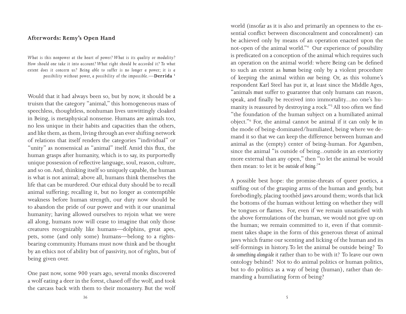# **Afterwords: Remy's Open Hand**

*What is this nonpower at the heart of power? What is its quality or modality? How should one take it into account? What right should be accorded it? To what extent does it concern us? Being able to suffer is no longer a power; it is a possibility without power, a possibility of the impossible.—***Derrida 1**

Would that it had always been so, but by now, it should be a truism that the category "animal," this homogeneous mass of speechless, thoughtless, nonhuman lives unwittingly cloaked in Being, is metaphysical nonsense. Humans are animals too, no less unique in their habits and capacities than the others, and like them, as them, living through an ever shifting network of relations that itself renders the categories "individual" or "unity" as nonsensical as "animal" itself. Amid this flux, the human grasps after humanity, which is to say, its purportedly unique possession of reflective language, soul, reason, culture, and so on. And, thinking itself so uniquely capable, the human is what is not animal; above all, humans think themselves the life that can be murdered. Our ethical duty should be to recall animal suffering; recalling it, but no longer as contemptible weakness before human strength, our duty now should be to abandon the pride of our power and with it our unanimal humanity; having allowed ourselves to rejoin what we were all along, humans now will cease to imagine that only those creatures recognizably like humans—dolphins, great apes, pets, some (and only some) humans—belong to a rightsbearing community. Humans must now think and be thought by an ethics not of ability but of passivity, not of rights, but of being given over.

One past now, some 900 years ago, several monks discovered a wolf eating a deer in the forest, chased off the wolf, and took the carcass back with them to their monastery. But the wolf

world (insofar as it is also and primarily an openness to the essential conflict between disconcealment and concealment) can be achieved only by means of an operation enacted upon the not-open of the animal world."4 Our experience of possibility is predicated on a conception of the animal which requires such an operation on the animal world: where Being can be defined to such an extent as *human* being only by a violent procedure of keeping the animal within *our* being. Or, as this volume's respondent Karl Steel has put it, at least since the Middle Ages, "animals *must* suffer to guarantee that only humans can reason, speak, and finally be received into immortality....no one's humanity is reassured by destroying a rock."<sup>5</sup> All too often we find "the foundation of the human subject on a humiliated animal object."6 For, the animal cannot be animal if it can only *be* in the mode of being-dominated/humiliated, being where we demand it so that we can keep the difference between human and animal as the (empty) center of being-human. For Agamben, since the animal "is outside of being...outside in an exteriority more external than any open," then "to let the animal be would then mean: to let it be *outside of being.7 "*

A possible best hope: the promise-threats of queer poetics, a sniffing out of the grasping arms of the human and gently, but forebodingly, placing toothèd jaws around them; words that lick the bottoms of the human without letting on whether they will be tongues or flames. For, even if we remain unsatisfied with the above formulations of the human, we would not give up on the human; we remain committed to it, even if that commitment takes shape in the form of this generous threat of animal jaws which frame our scenting and licking of the human and its self-formings in history. To let the animal be outside being? To *do something alongside it* rather than to be with it? To leave our own ontology behind? Not to do animal politics or human politics, but to do politics as a way of being (human), rather than demanding a humiliating form of being?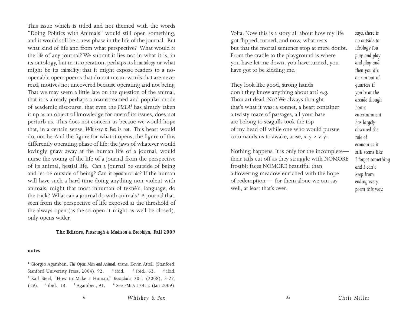This issue which is titled and not themed with the words "Doing Politics with Animals" would still open something, and it would still be a new phase in the life of the journal. But what kind of life and from what perspective? What would *be*  the *life* of any journal? We submit it lies not in what it is, in its ontology, but in its operation, perhaps its *hauntology* or what might be its *animality:* that it might expose readers to a noopenable open: poems that do not mean, words that are never read, motives not uncovered because operating and not being. That we may seem a little late on the question of the animal, that it is already perhaps a mainstreamed and popular mode of academic discourse, that even the *PMLA8* has already taken it up as an object of knowledge for one of its issues, does not perturb us. This does not concern us becaue we would hope that, in a certain sense, *Whiskey & Fox* is *not.* This beast would do, not be. And the figure for what it opens, the figure of this differently operating phase of life: the jaws of whatever would lovingly gnaw away at the human life of a journal, would nurse the young of the life of a journal from the perspective of its animal, bestial life. Can a journal be outside of being and let-be outside of being? Can it *operate* or *do*? If the human will have such a hard time doing anything non-violent with animals, might that most inhuman of tekné's, language, do the trick? What can a journal do with animals? A journal that, seen from the perspective of life exposed at the threshold of the always-open (as the so-open-it-might-as-well-be-closed), only opens wider.

## **The Editors,** *Pittsburgh & Madison & Brooklyn,* **Fall 2009**

#### **notes**

**<sup>1</sup>** Giorgio Agamben, *The Open: Man and Animal*, trans. Kevin Attell (Stanford: Stanford Univeristy Press, 2004), 92. **<sup>2</sup>** ibid. **<sup>3</sup>** ibid., 62. **<sup>4</sup>** ibid. **<sup>5</sup>** Karl Steel, "How to Make a Human," *Exemplaria* 20:1 (2008), 3-27, (19). 6 ibid., 18. **<sup>7</sup>** Agamben, 91. **<sup>8</sup>** See *PMLA* 124: 2 (Jan 2009). Volta. Now this is a story all about how my life got flipped, turned, and now, what rests but that the mortal sentence stop at mere doubt. From the cradle to the playground is where you have let me down, you have turned, you have got to be kidding me.

They look like good, strong hands don't they know anything about art? e.g. Thou art dead. No? We always thought that's what it was: a sonnet, a heart container a twisty maze of passages, all your base are belong to seagulls took the top of my head off while one who would pursue commands us to awake, arise, x-y-z-z-y!

Nothing happens. It is only for the incomplete their tails cut off as they struggle with NOMORE frostbit faces NOMORE beautiful than a flowering meadow enriched with the hope of redemption— for them alone we can say well, at least that's over.

*says, there is no outside to ideology You play and play and play and then you die or run out of quarters if you're at the arcade though home entertainment has largely obscured the role of economics it still seems like I forgot something and I can't keep from ending every poem this way.*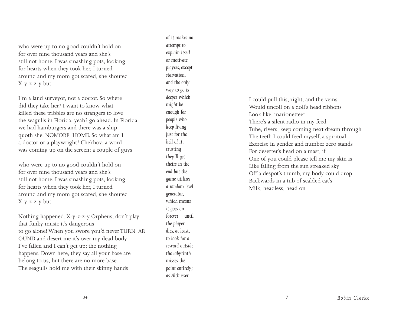who were up to no good couldn't hold on for over nine thousand years and she's still not home. I was smashing pots, looking for hearts when they took her, I turned around and my mom got scared, she shouted X-y-z-z-y but

I'm a land surveyor, not a doctor. So where did they take her? I want to know what killed these tribbles are no strangers to love the seagulls in Florida. yeah? go ahead. In Florida we had hamburgers and there was a ship quoth she. NOMORE HOME. So what am I a doctor or a playwright? Chekhov: a word was coming up on the screen; a couple of guys

who were up to no good couldn't hold on for over nine thousand years and she's still not home. I was smashing pots, looking for hearts when they took her, I turned around and my mom got scared, she shouted X-y-z-z-y but

Nothing happened. X-y-z-z-y Orpheus, don't play that funky music it's dangerous to go alone! When you swore you'd never TURN AR OUND and desert me it's over my dead body I've fallen and I can't get up; the nothing happens. Down here, they say all your base are belong to us, but there are no more base. The seagulls hold me with their skinny hands

*of it makes no attempt to explain itself or motivate players, except starvation, and the only way to go is deeper which might be enough for people who keep living just for the hell of it, trusting they'll get theirs in the end but the game utilizes a random level generator, which means it goes on forever—until the player dies, at least, to look for a reward outside the labyrinth misses the point entirely; as Althusser*

I could pull this, right, and the veins Would uncoil on a doll's head ribbons Look like, marionetteer There's a silent radio in my feed Tube, rivers, keep coming next dream through The teeth I could feed myself, a spiritual Exercise in gender and number zero stands For deserter's head on a mast, if One of you could please tell me my skin is Like falling from the sun streaked sky Off a despot's thumb, my body could drop Backwards in a tub of scalded cat's Milk, headless, head on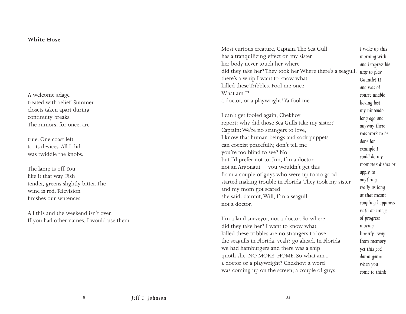# **White Hose**

A welcome adage treated with relief. Summer closets taken apart during continuity breaks. The rumors, for once, are

true. One coast left to its devices. All I did was twiddle the knobs.

The lamp is off. You like it that way. Fish tender, greens slightly bitter. The wine is red. Television finishes our sentences.

All this and the weekend isn't over. If you had other names, I would use them.

| Most curious creature, Captain. The Sea Gull                   | I woke up this      |
|----------------------------------------------------------------|---------------------|
| has a tranquilizing effect on my sister                        | morning with        |
| her body never touch her where                                 | and irrepressible   |
| did they take her? They took her Where there's a seagull,      | urge to play        |
| there's a whip I want to know what                             | Gauntlet II         |
| killed these Tribbles. Fool me once                            | and was of          |
| What am I?                                                     | course unable       |
| a doctor, or a playwright? Ya fool me                          | having lost         |
|                                                                | my nintendo         |
| I can't get fooled again, Chekhov                              | long ago and        |
| report: why did those Sea Gulls take my sister?                | anyway there        |
| Captain: We're no strangers to love,                           | was work to be      |
| I know that human beings and sock puppets                      | done for            |
| can coexist peacefully, don't tell me                          | example I           |
| you're too blind to see? No                                    | could do my         |
| but I'd prefer not to, Jim, I'm a doctor                       | roomate's dishes or |
| not an Argonaut-you wouldn't get this                          | apply to            |
| from a couple of guys who were up to no good                   | anything            |
| started making trouble in Florida. They took my sister         | really as long      |
| and my mom got scared<br>she said: damnit, Will, I'm a seagull | as that meant       |
| not a doctor.                                                  | coupling happiness  |
|                                                                | with an image       |
| I'm a land surveyor, not a doctor. So where                    | of progress         |
|                                                                |                     |

*moving linearly away from memory yet this god damn game when you come to think*

I'm a land surveyor, not a doctor. So where did they take her? I want to know what killed these tribbles are no strangers to love the seagulls in Florida. yeah? go ahead. In Florida we had hamburgers and there was a ship quoth she. NO MORE HOME. So what am I a doctor or a playwright? Chekhov: a word was coming up on the screen; a couple of guys

*8*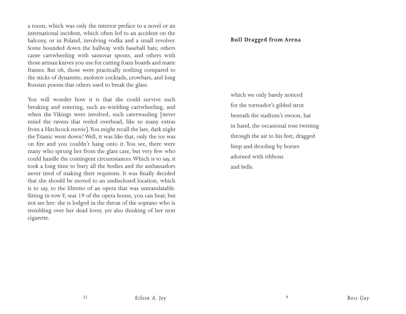a room, which was only the interior preface to a novel or an international incident, which often led to an accident on the balcony, or in Poland, involving vodka and a small revolver. Some bounded down the hallway with baseball bats; others came cartwheeling with samovar spouts, and others with those artisan knives you use for cutting foam boards and matte frames. But oh, those were practically nothing compared to the sticks of dynamite, molotov cocktails, crowbars, and long Russian poems that others used to break the glass.

You will wonder how it is that she could survive such breaking and entering, such ax-wielding cartwheeling, and when the Vikings were involved, such caterwauling [never mind the ravens that reeled overhead, like so many extras from a Hitchcock movie]. You might recall the late, dark night the Titanic went down? Well, it was like that, only the ice was on fire and you couldn't hang onto it. You see, there were many who sprung her from the glass case, but very few who could handle the contingent circumstances. Which is to say, it took a long time to bury all the bodies and the ambassadors never tired of making their requiems. It was finally decided that she should be moved to an undisclosed location, which is to say, to the libretto of an opera that was untranslatable. Sitting in row F, seat 19 of the opera house, you can hear, but not see her: she is lodged in the throat of the soprano who is trembling over her dead lover, yet also thinking of her next cigarette.

# **Bull Dragged from Arena**

which we only barely noticed for the torreador's gilded strut beneath the stadium's swoon, hat in hand, the occasional rose twisting through the air to his feet, dragged limp and drooling by horses adorned with ribbons and bells.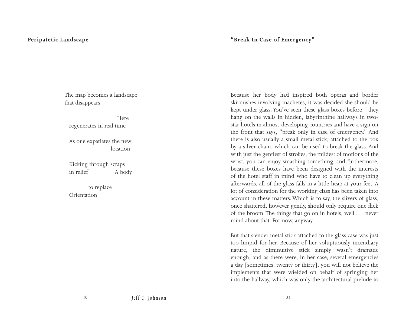# **Peripatetic Landscape**

# **"Break In Case of Emergency"**

The map becomes a landscape that disappears

 Here regenerates in real time

As one expatiates the new location

Kicking through scraps in relief A body

 to replace Orientation

Because her body had inspired both operas and border skirmishes involving machetes, it was decided she should be kept under glass. You've seen these glass boxes before—they hang on the walls in hidden, labyrinthine hallways in twostar hotels in almost-developing countries and have a sign on the front that says, "break only in case of emergency." And there is also usually a small metal stick, attached to the box by a silver chain, which can be used to break the glass. And with just the gentlest of strokes, the mildest of motions of the wrist, you can enjoy smashing something, and furthermore, because these boxes have been designed with the interests of the hotel staff in mind who have to clean up everything afterwards, all of the glass falls in a little heap at your feet. A lot of consideration for the working class has been taken into account in these matters. Which is to say, the slivers of glass, once shattered, however gently, should only require one flick of the broom. The things that go on in hotels, well . . . never mind about that. For now, anyway.

But that slender metal stick attached to the glass case was just too limpid for her. Because of her voluptuously incendiary nature, the diminuitive stick simply wasn't dramatic enough, and as there were, in her case, several emergencies a day [sometimes, twenty or thirty], you will not believe the implements that were wielded on behalf of springing her into the hallway, which was only the architectural prelude to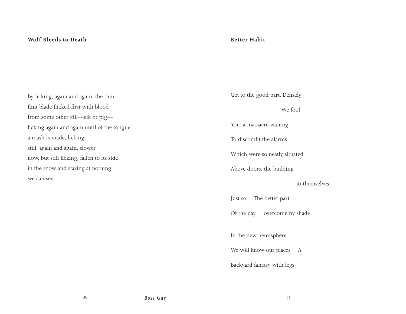# **Wolf Bleeds to Death**

# **Better Habit**

by licking, again and again, the thin flint blade flicked first with blood from some other kill—elk or pig licking again and again until of the tongue a mash is made, licking still, again and again, slower now, but still licking, fallen to its side in the snow and staring at nothing we can see.

Get to the good part. Densely

We fool

You: a massacre waning

To discomfit the alarms

Which were so neatly situated

Above doors, the building

# To themselves

Just so The better part

Of the day overcome by shade

In the new hemisphere

We will know our places A

Backyard fantasy with legs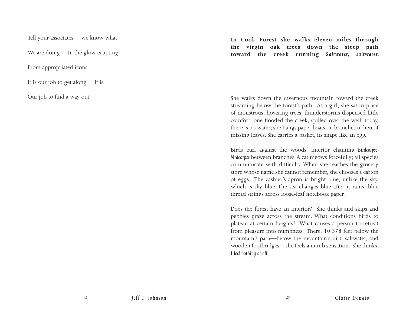Tell your associates we know what

We are doing In the glow erupting

From appropriated icons

It is our job to get along It is

Our job to find a way out

**In Cook Forest she walks eleven miles through the virgin oak trees down the steep path toward the creek running** *Saltwater, saltwater.*

She walks down the cavernous mountain toward the creek streaming below the forest's path. As a girl, she sat in place of monstrous, hovering trees; thunderstorms dispensed little comfort; one flooded the creek, spilled over the well; today, there is no water; she hangs paper boats on branches in lieu of missing leaves. She carries a basket, its shape like an egg.

Birds curl against the woods' interior chanting *Birdcorpse, birdcorpse* between branches. A cat meows forcefully; all species communicate with difficulty. When she reaches the grocery store whose name she cannot remember, she chooses a carton of eggs. The cashier's apron is bright blue, unlike the sky, which is sky blue. The sea changes blue after it rains; blue thread strings across loose-leaf notebook paper.

Does the forest have an interior? She thinks and skips and pebbles graze across the stream. What conditions birds to plateau at certain heights? What causes a person to retreat from pleasure into numbness. There, 10,378 feet below the mountain's path—below the mountain's dirt, saltwater, and wooden footbridges—she feels a numb sensation. She thinks, *I feel nothing at all.*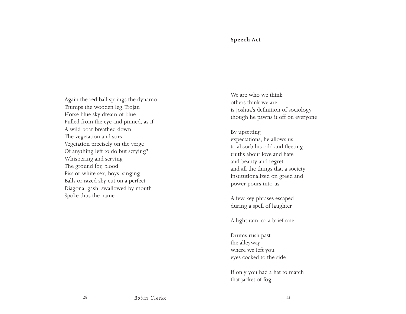# **Speech Act**

Again the red ball springs the dynamo Trumps the wooden leg, Trojan Horse blue sky dream of blue Pulled from the eye and pinned, as if A wild boar breathed down The vegetation and stirs Vegetation precisely on the verge Of anything left to do but scrying? Whispering and scrying The ground for, blood Piss or white sex, boys' singing Balls or razed sky cut on a perfect Diagonal gash, swallowed by mouth Spoke thus the name

We are who we think others think we are is Joshua's definition of sociology though he pawns it off on everyone

By upsetting expectations, he allows us to absorb his odd and fleeting truths about love and hate and beauty and regret and all the things that a society institutionalized on greed and power pours into us

A few key phrases escaped during a spell of laughter

A light rain, or a brief one

Drums rush past the alleyway where we left you eyes cocked to the side

If only you had a hat to match that jacket of fog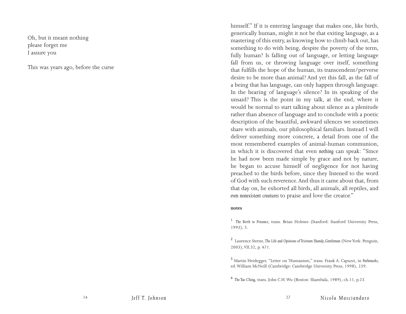Oh, but it meant nothing please forget me I assure you

This was years ago, before the curse

himself." If it is entering language that makes one, like birth, generically human, might it not be that exiting language, as a mastering of this entry, as knowing how to climb back out, has something to do with being, despite the poverty of the term, fully human? Is falling out of language, or letting language fall from us, or throwing language over itself, something that fulfills the hope of the human, its transcendent/perverse desire to be more than animal? And yet this fall, as the fall of a being that has language, can only happen through language. In the hearing of language's silence? In its speaking of the unsaid? This is the point in my talk, at the end, where it would be normal to start talking about silence as a plenitude rather than absence of language and to conclude with a poetic description of the beautiful, awkward silences we sometimes share with animals, our philosophical familiars. Instead I will deliver something more concrete, a detail from one of the most remembered examples of animal-human communion, in which it is discovered that even *nothing* can speak: "Since he had now been made simple by grace and not by nature, he began to accuse himself of negligence for not having preached to the birds before, since they listened to the word of God with such reverence. And thus it came about that, from that day on, he exhorted all birds, all animals, all reptiles, and *even nonexistent creatures* to praise and love the creator."

## **notes**

<sup>1</sup> *The Birth to Presence*, trans. Brian Holmes (Stanford: Stanford University Press, 1993), 5.

2 Laurence Sterne, *The Life and Opinions of Tristram Shandy, Gentleman* (New York: Penguin, 2003), VII.32, p. 471.

<sup>3</sup> Martin Heidegger, "Letter on 'Humanism," trans. Frank A. Capuzzi, in *Pathmarks,*  ed. William McNeill (Cambridge: Cambridge University Press, 1998), 239.

<sup>4</sup> *The Tao Ching,* trans. John C.H. Wu (Boston: Shambala, 1989), ch.11, p.23.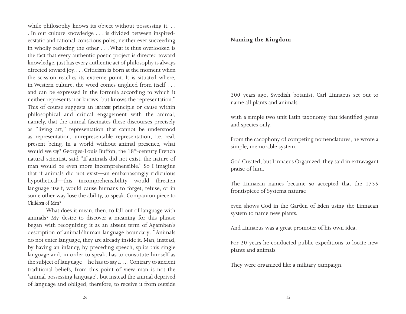while philosophy knows its object without possessing it. . . . In our culture knowledge . . . is divided between inspiredecstatic and rational-conscious poles, neither ever succeeding in wholly reducing the other . . . What is thus overlooked is the fact that every authentic poetic project is directed toward knowledge, just has every authentic act of philosophy is always directed toward joy. . . . Criticism is born at the moment when the scission reaches its extreme point. It is situated where, in Western culture, the word comes unglued from itself . . . and can be expressed in the formula according to which it neither represents nor knows, but knows the representation." This of course suggests an *inherent* principle or cause within philosophical and critical engagement with the animal, namely, that the animal fascinates these discourses precisely as "living art," representation that cannot be understood as representation, unrepresentable representation, i.e. real, present being. In a world without animal presence, what would we say? Georges-Louis Buffon, the 18<sup>th</sup>-century French natural scientist, said "If animals did not exist, the nature of man would be even more incomprehensible." So I imagine that if animals did not exist—an embarrassingly ridiculous hypothetical—this incomprehensibility would threaten language itself, would cause humans to forget, refuse, or in some other way lose the ability, to speak. Companion piece to *Children of Men*?

What does it mean, then, to fall out of language with animals? My desire to discover a meaning for this phrase began with recognizing it as an absent term of Agamben's description of animal/human language boundary: "Animals do not enter language, they are already inside it. Man, instead, by having an infancy, by preceding speech, splits this single language and, in order to speak, has to constitute himself as the subject of language—he has to say *I*. . . . Contrary to ancient traditional beliefs, from this point of view man is not the 'animal possessing language', but instead the animal deprived of language and obliged, therefore, to receive it from outside

# **Naming the Kingdom**

300 years ago, Swedish botanist, Carl Linnaeus set out to name all plants and animals

with a simple two unit Latin taxonomy that identified genus and species only.

From the cacophony of competing nomenclatures, he wrote a simple, memorable system.

God Created, but Linnaeus Organized, they said in extravagant praise of him.

The Linnaean names became so accepted that the 1735 frontispiece of Systema naturae

even shows God in the Garden of Eden using the Linnaean system to name new plants.

And Linnaeus was a great promoter of his own idea.

For 20 years he conducted public expeditions to locate new plants and animals.

They were organized like a military campaign.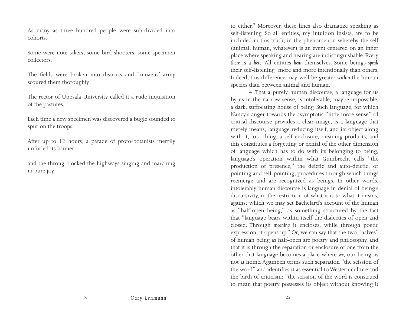As many as three hundred people were sub-divided into cohorts.

Some were note takers, some bird shooters, some specimen collectors.

The fields were broken into districts and Linnaeus' army scoured them thoroughly.

The rector of Uppsala University called it a rude inquisition of the pastures.

Each time a new specimen was discovered a bugle sounded to spur on the troops.

After up to 12 hours, a parade of proto-botanists merrily unfurled its banner

and the throng blocked the highways singing and marching in pure joy.

to either." Moreover, these lines also dramatize speaking as self-listening. So all entities, my intuition insists, are to be included in this truth, in the phenomenon whereby the self (animal, human, whatever) is an event centered on an inner place where speaking and hearing are indistinguishable. Every *there* is a *here*. All entities *hear* themselves. Some beings *speak*  their self-listening more and more intentionally than others. Indeed, this difference may well be greater *within* the human species than between animal and human.

 4. That a purely human discourse, a language for us by us in the narrow sense, is intolerable, maybe impossible, a dark, suffocating house of being. Such language, for which Nancy's anger towards the asymptotic "little more sense" of critical discourse provides a clear image, is a language that merely means, language reducing itself, and its object along with it, to a thing, a self-enclosure, meaning-products, and this constitutes a forgetting or denial of the other dimension of language which has to do with its belonging to being, language's operation within what Gumbrecht calls "the production of presence," the deictic and auto-deictic, or pointing and self-pointing, procedures through which things reemerge and are recognized as beings. In other words, intolerably human discourse is language in denial of being's discursivity, in the restriction of what it is to what it means, against which we may set Bachelard's account of the human as "half-open being," as something structured by the fact that "language bears within itself the dialectics of open and closed. Through *meaning* it encloses, while through poetic expression, it opens up." Or, we can say that the two "halves" of human being as half-open are poetry and philosophy, and that it is through the separation or enclosure of one from the other that language becomes a place where *we*, our being, is not at home. Agamben terms such separation "the scission of the word" and identifies it as essential to Western culture and the birth of criticism: "the scission of the word is construed to mean that poetry possesses its object without knowing it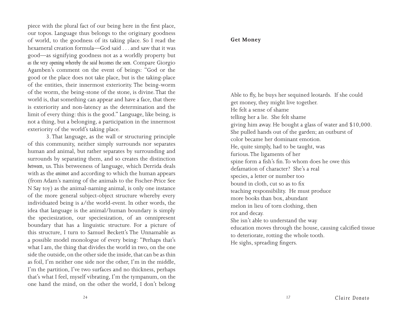piece with the plural fact of our being here in the first place, our topos. Language thus belongs to the originary goodness of world, to the goodness of its taking place. So I read the hexameral creation formula—God said . . . and saw that it was good—as signifying goodness not as a worldly property but *as the very opening whereby the said becomes the seen.* Compare Giorgio Agamben's comment on the event of beings: "God or the good or the place does not take place, but is the taking-place of the entities, their innermost exteriority. The being-worm of the worm, the being-stone of the stone, is divine. That the world is, that something can appear and have a face, that there is exteriority and non-latency as the determination and the limit of every thing: this is the good." Language, like being, is not a thing, but a belonging, a participation in the innermost exteriority of the world's taking place.

3. That language, as the wall or structuring principle of this community, neither simply surrounds nor separates human and animal, but rather separates by surrounding and surrounds by separating them, and so creates the distinction *between*, us. This betweeness of language, which Derrida deals with as the *animot* and according to which the human appears (from Adam's naming of the animals to the Fischer-Price See N Say toy) as the animal-naming animal, is only one instance of the more general subject-object structure whereby every individuated being is a/the world-event. In other words, the idea that language is the animal/human boundary is simply the speciesization, our speciesization, of an omnipresent boundary that has a linguistic structure. For a picture of this structure, I turn to Samuel Beckett's The Unnamable as a possible model monologue of every being: "Perhaps that's what I am, the thing that divides the world in two, on the one side the outside, on the other side the inside, that can be as thin as foil, I'm neither one side nor the other, I'm in the middle, I'm the partition, I've two surfaces and no thickness, perhaps that's what I feel, myself vibrating, I'm the tympanum, on the one hand the mind, on the other the world, I don't belong

# **Get Money**

Able to fly, he buys her sequined leotards. If she could get money, they might live together. He felt a sense of shame telling her a lie. She felt shame giving him away. He bought a glass of water and \$10,000. She pulled hands out of the garden; an outburst of color became her dominant emotion. He, quite simply, had to be taught, was furious. The ligaments of her spine form a fish's fin. To whom does he owe this defamation of character? She's a real species, a letter or number too bound in cloth, cut so as to fix teaching responsibility. He must produce more books than box, abundant melon in lieu of torn clothing, then rot and decay. She isn't able to understand the way education moves through the house, causing calcified tissue to deteriorate, rotting the whole tooth. He sighs, spreading fingers.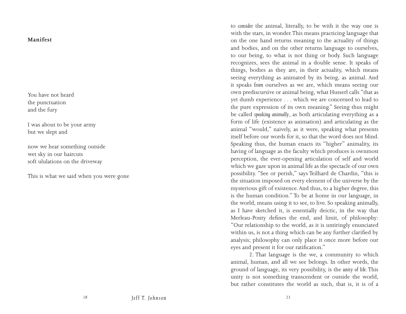# **Manifest**

You have not heard the punctuation and the fury

I was about to be your army but we slept and

now we hear something outside wet sky in our haircuts soft ululations on the driveway

This is what we said when you were gone

to *consider* the animal, literally, to be with it the way one is with the stars, in wonder. This means practicing language that on the one hand returns meaning to the actuality of things and bodies, and on the other returns language to ourselves, to our being, to what is not thing or body. Such language recognizes, sees the animal in a double sense. It speaks of things, bodies as they are, in their actuality, which means seeing everything as animated by its being, as animal. And it speaks *from* ourselves as we are, which means seeing our own prediscursive or animal being, what Husserl calls "that as yet dumb experience . . . which we are concerned to lead to the pure expression of its own meaning." Seeing thus might be called *speaking animally*, as both articulating everything as a form of life (existence as animation) and articulating as the animal "would," naively, as it were, speaking what presents itself before our words for it, so that the word does not blind. Speaking thus, the human enacts its "higher" animality, its having of language as the faculty which produces is ownmost perception, the ever-opening articulation of self and world which we gaze upon in animal life as the spectacle of our own possibility. "See or perish," says Teilhard de Chardin, "this is the situation imposed on every element of the universe by the mysterious gift of existence. And thus, to a higher degree, this is the human condition." To be at home in our language, in the world, means using it to see, to live. So speaking animally, as I have sketched it, is essentially deictic, in the way that Merleau-Ponty defines the end, and limit, of philosophy: "Our relationship to the world, as it is untiringly enunciated within us, is not a thing which can be any further clarified by analysis; philosophy can only place it once more before our eyes and present it for our ratification."

2. That language is the we, a community to which animal, human, and all we see belongs. In other words, the ground of language, its very possibility, is the *unity of life*. This unity is not something transcendent or outside the world, but rather constitutes the world as such, that is, it is of a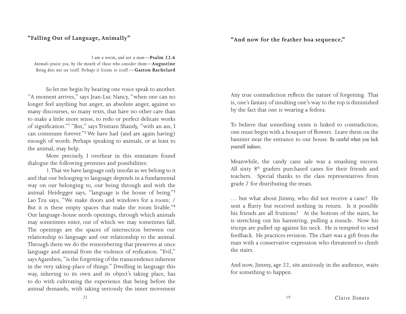# **"Falling Out of Language, Animally"**

# **"And now for the feather boa sequence."**

*I am a worm, and not a man*—**Psalm 22.6** *Animals praise you, by the mouth of those who consider them*—**Augustine** *Being does not see itself. Perhaps it listens to itself.—***Gaston Bachelard**

So let me begin by hearing one voice speak to another. "A moment arrives," says Jean-Luc Nancy, "when one can no longer feel anything but anger, an absolute anger, against so many discourses, so many texts, that have no other care than to make a little more sense, to redo or perfect delicate works of signification."<sup>1</sup> "But," says Tristram Shandy, "with an ass, I can commune forever."<sup>2</sup> We have had (and are again having) enough of words. Perhaps speaking to animals, or at least to the animal, may help.

More precisely, I overhear in this miniature found dialogue the following premises and possibilities:

 1. That we have language only insofar as we belong to it and that our belonging to language depends in a fundamental way on our belonging to, our being through and with the animal. Heidegger says, "language is the house of being."<sup>3</sup> Lao Tzu says, "We make doors and windows for a room; / But it is these empty spaces that make the room livable."<sup>4</sup> Our language-house needs openings, through which animals may sometimes enter, out of which we may sometimes fall. The openings are the spaces of intersection between our relationship to language and our relationship to the animal. Through them we do the remembering that preserves at once language and animal from the violence of reification. "Evil," says Agamben, "is the forgetting of the transcendence inherent in the very taking-place of things." Dwelling in language this way, inhering to its own and its object's taking place, has to do with cultivating the experience that being before the animal demands, with taking seriously the inner movement Any true contradiction reflects the nature of forgetting. That is, one's fantasy of insulting one's way to the top is diminished by the fact that one is wearing a fedora.

To believe that something exists is linked to contradiction; one must begin with a bouquet of flowers. Leave them on the banister near the entrance to our house. *Be careful when you lock yourself indoors.* 

Meanwhile, the candy cane sale was a smashing success. All sixty 8<sup>th</sup> graders purchased canes for their friends and teachers. Special thanks to the class representatives from grade 7 for distributing the treats.

… but what about Jimmy, who did not receive a cane? He sent a flurry but received nothing in return. Is it possible his friends are all fruitions? At the bottom of the stairs, he is stretching out his hamstring, pulling a muscle. Now his triceps are pulled up against his neck. He is tempted to send feedback. He practices revision. The chart was a gift from the man with a conservative expression who threatened to climb the stairs.

And now, Jimmy, age 22, sits anxiously in the audience, waits for something to happen.